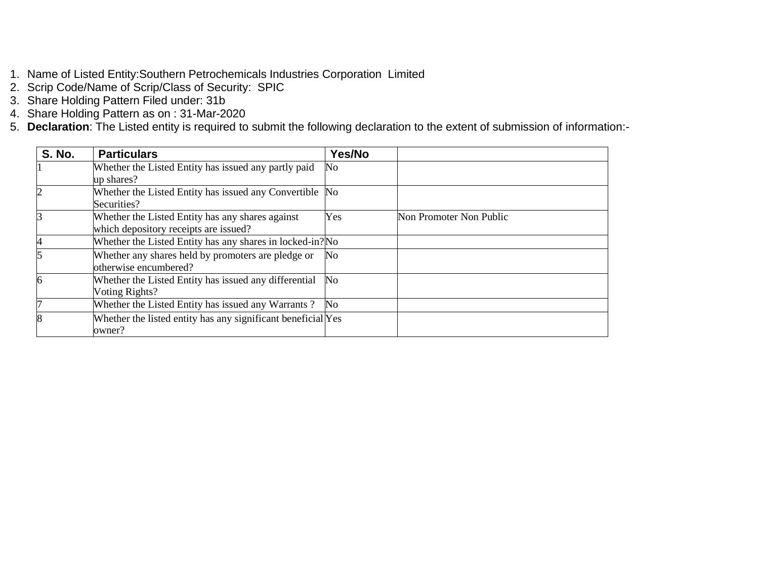- 1. Name of Listed Entity:Southern Petrochemicals Industries Corporation Limited
- 2. Scrip Code/Name of Scrip/Class of Security: SPIC
- 3. Share Holding Pattern Filed under: 31b
- 4. Share Holding Pattern as on : 31-Mar-2020
- 5. **Declaration**: The Listed entity is required to submit the following declaration to the extent of submission of information:-

| <b>S. No.</b> | <b>Particulars</b>                                           | Yes/No |                         |
|---------------|--------------------------------------------------------------|--------|-------------------------|
|               | Whether the Listed Entity has issued any partly paid         | No     |                         |
|               | up shares?                                                   |        |                         |
|               | Whether the Listed Entity has issued any Convertible No      |        |                         |
|               | Securities?                                                  |        |                         |
|               | Whether the Listed Entity has any shares against             | Yes    | Non Promoter Non Public |
|               | which depository receipts are issued?                        |        |                         |
|               | Whether the Listed Entity has any shares in locked-in? No    |        |                         |
|               | Whether any shares held by promoters are pledge or           | No     |                         |
|               | otherwise encumbered?                                        |        |                         |
| 6             | Whether the Listed Entity has issued any differential        | No     |                         |
|               | Voting Rights?                                               |        |                         |
|               | Whether the Listed Entity has issued any Warrants?           | No.    |                         |
| 8             | Whether the listed entity has any significant beneficial Yes |        |                         |
|               | owner?                                                       |        |                         |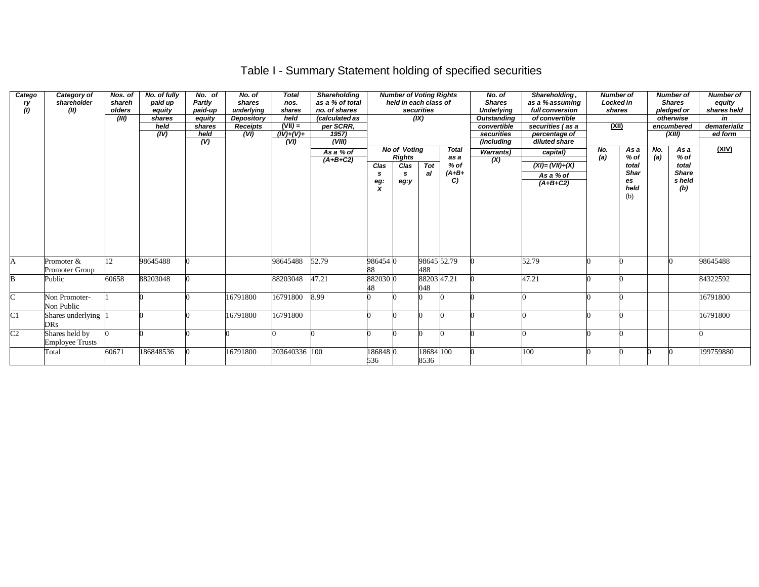# Table I - Summary Statement holding of specified securities

| Catego<br>ry<br>(1) | Category of<br>shareholder<br>(II)       | Nos. of<br>shareh<br>olders<br>(III) | No. of fully<br>paid up<br>equity<br>shares<br>held<br>(IV) | No. of<br>Partly<br>paid-up<br>equity<br>shares<br>held<br>$\overline{(\mathsf{V})}$ | No. of<br>shares<br>underlying<br><b>Depository</b><br><b>Receipts</b><br>(VI) | <b>Total</b><br>nos.<br>shares<br>held<br>$(VII) =$<br>$(IV)+(V)+$<br>(VI) | Shareholding<br>as a % of total<br>no. of shares<br>(calculated as<br>per SCRR,<br>1957)<br>(VIII) |                  | <b>Number of Voting Rights</b><br>held in each class of          | securities<br>(IX) |                                                | No. of<br><b>Shares</b><br><b>Underlying</b><br><b>Outstanding</b><br>convertible<br>securities<br>(including | Shareholding,<br>as a % assuming<br>full conversion<br>of convertible<br>securities (as a<br>percentage of<br>diluted share | <b>Number of</b><br><b>Locked in</b><br>shares<br>(XII) |                                                             |            | <b>Number of</b><br><b>Shares</b><br>pledged or<br>otherwise<br>encumbered<br>(XIII) | <b>Number of</b><br>equity<br>shares held<br>in<br>dematerializ<br>ed form |
|---------------------|------------------------------------------|--------------------------------------|-------------------------------------------------------------|--------------------------------------------------------------------------------------|--------------------------------------------------------------------------------|----------------------------------------------------------------------------|----------------------------------------------------------------------------------------------------|------------------|------------------------------------------------------------------|--------------------|------------------------------------------------|---------------------------------------------------------------------------------------------------------------|-----------------------------------------------------------------------------------------------------------------------------|---------------------------------------------------------|-------------------------------------------------------------|------------|--------------------------------------------------------------------------------------|----------------------------------------------------------------------------|
|                     |                                          |                                      |                                                             |                                                                                      |                                                                                |                                                                            | As a % of<br>$(A+B+C2)$                                                                            | Clas<br>s<br>eg: | <b>No of Voting</b><br><b>Rights</b><br>Clas<br><b>S</b><br>eg:y | Tot<br>al          | <b>Total</b><br>as a<br>$%$ of<br>$(A+B+$<br>C | <b>Warrants)</b><br>(X)                                                                                       | capital)<br>$(XI) = (VII) + (X)$<br>As a % of<br>$(A+B+C2)$                                                                 | No.<br>(a)                                              | As a<br>$%$ of<br>total<br><b>Shar</b><br>es<br>held<br>(b) | No.<br>(a) | As a<br>$%$ of<br>total<br><b>Share</b><br>s held<br>(b)                             | (XIV)                                                                      |
| A                   | Promoter &<br>Promoter Group             | 12                                   | 98645488                                                    |                                                                                      |                                                                                | 98645488                                                                   | 52.79                                                                                              | 986454 0<br>88   |                                                                  | 488                | 98645 52.79                                    |                                                                                                               | 52.79                                                                                                                       |                                                         |                                                             |            |                                                                                      | 98645488                                                                   |
| B                   | Public                                   | 60658                                | 88203048                                                    |                                                                                      |                                                                                | 88203048                                                                   | 47.21                                                                                              | 882030 0<br>48   |                                                                  | 048                | 88203 47.21                                    |                                                                                                               | 47.21                                                                                                                       |                                                         |                                                             |            |                                                                                      | 84322592                                                                   |
| $\overline{C}$      | Non Promoter-<br>Non Public              |                                      |                                                             |                                                                                      | 16791800                                                                       | 16791800                                                                   | 8.99                                                                                               |                  |                                                                  |                    |                                                |                                                                                                               |                                                                                                                             |                                                         |                                                             |            |                                                                                      | 16791800                                                                   |
| $\overline{C}1$     | Shares underlying<br><b>DRs</b>          |                                      |                                                             |                                                                                      | 16791800                                                                       | 16791800                                                                   |                                                                                                    |                  |                                                                  |                    |                                                |                                                                                                               |                                                                                                                             |                                                         |                                                             |            |                                                                                      | 16791800                                                                   |
| C <sub>2</sub>      | Shares held by<br><b>Employee Trusts</b> |                                      |                                                             |                                                                                      |                                                                                |                                                                            |                                                                                                    |                  |                                                                  |                    |                                                |                                                                                                               |                                                                                                                             |                                                         |                                                             |            |                                                                                      |                                                                            |
|                     | Total                                    | 60671                                | 186848536                                                   |                                                                                      | 16791800                                                                       | 203640336 100                                                              |                                                                                                    | 1868480<br>536   |                                                                  | 18684 100<br>8536  |                                                |                                                                                                               | 100                                                                                                                         |                                                         |                                                             |            |                                                                                      | 199759880                                                                  |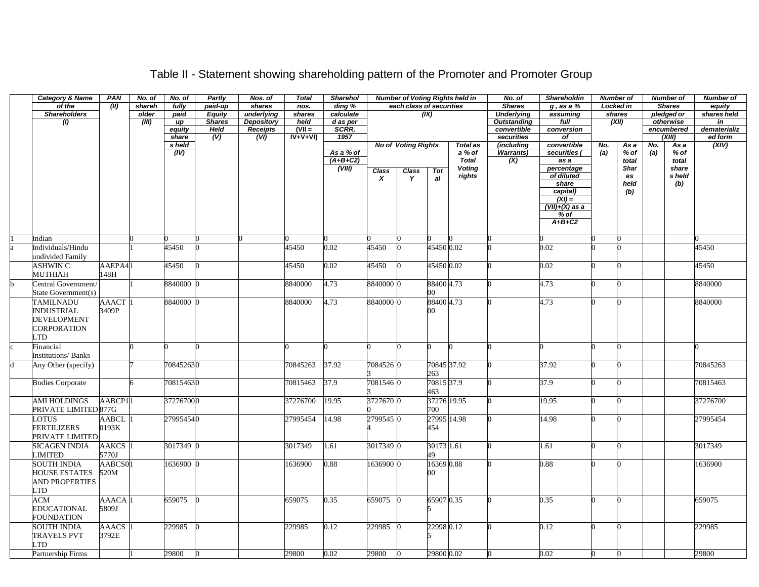| <b>Category &amp; Name</b> | <b>PAN</b>   | No. of | No. of    | Partly        | Nos. of           | <b>Total</b> | Sharehol   |              |                            |             | <b>Number of Voting Rights held in</b> | No. of             | Shareholdin              |     | <b>Number of</b>  |     | <b>Number of</b> | <b>Number of</b> |
|----------------------------|--------------|--------|-----------|---------------|-------------------|--------------|------------|--------------|----------------------------|-------------|----------------------------------------|--------------------|--------------------------|-----|-------------------|-----|------------------|------------------|
| of the                     | (III)        | shareh | fully     | paid-up       | shares            | nos.         | ding %     |              | each class of securities   |             |                                        | <b>Shares</b>      | $g$ , as a $%$           |     | Locked in         |     | <b>Shares</b>    | equity           |
| <b>Shareholders</b>        |              | older  | paid      | <b>Equity</b> | underlying        | shares       | calculate  |              |                            | (IX)        |                                        | <b>Underlying</b>  | assuming                 |     | shares            |     | pledged or       | shares held      |
| (1)                        |              | (III)  | up        | <b>Shares</b> | <b>Depository</b> | held         | d as per   |              |                            |             |                                        | <b>Outstanding</b> | full                     |     | (XII)             |     | otherwise        | in               |
|                            |              |        | equity    | <b>Held</b>   | <b>Receipts</b>   | $(VII =$     | SCRR,      |              |                            |             |                                        | convertible        | conversion               |     |                   |     | encumbered       | dematerializ     |
|                            |              |        | share     | (V)           | (VI)              | $IV+V+VI$    | 1957       |              |                            |             |                                        | securities         | of                       |     |                   |     | (XIII            | ed form          |
|                            |              |        | s held    |               |                   |              |            |              | <b>No of Voting Rights</b> |             | <b>Total as</b>                        | (including         | convertible              | No. | As a              | No. | As a             | (XIV)            |
|                            |              |        | (IV)      |               |                   |              | As a % of  |              |                            |             | a % of                                 | <b>Warrants</b> )  | securities (             | (a) | % of              | (a) | % of             |                  |
|                            |              |        |           |               |                   |              | $(A+B+C2)$ |              |                            |             | <b>Total</b>                           | (X)                | as a                     |     | total             |     | total            |                  |
|                            |              |        |           |               |                   |              | (VIII)     | <b>Class</b> | <b>Class</b>               | Tot         | <b>Voting</b><br>rights                |                    | percentage<br>of diluted |     | <b>Shar</b><br>es |     | share<br>s held  |                  |
|                            |              |        |           |               |                   |              |            | X            | Y                          | al          |                                        |                    | share                    |     | held              |     | (b)              |                  |
|                            |              |        |           |               |                   |              |            |              |                            |             |                                        |                    | capital)                 |     | (b)               |     |                  |                  |
|                            |              |        |           |               |                   |              |            |              |                            |             |                                        |                    | $(XI) =$                 |     |                   |     |                  |                  |
|                            |              |        |           |               |                   |              |            |              |                            |             |                                        |                    | $(VII)+(X)$ as a         |     |                   |     |                  |                  |
|                            |              |        |           |               |                   |              |            |              |                            |             |                                        |                    | % of                     |     |                   |     |                  |                  |
|                            |              |        |           |               |                   |              |            |              |                            |             |                                        |                    | $A+B+C2$                 |     |                   |     |                  |                  |
|                            |              |        |           |               |                   |              |            |              |                            |             |                                        |                    |                          |     |                   |     |                  |                  |
| Indian                     |              |        |           |               |                   |              |            |              |                            |             |                                        |                    |                          |     |                   |     |                  |                  |
| Individuals/Hindu          |              |        | 45450     |               |                   | 45450        | 0.02       | 45450        |                            | 45450 0.02  |                                        |                    | 0.02                     |     |                   |     |                  | 45450            |
| undivided Family           |              |        |           |               |                   |              |            |              |                            |             |                                        |                    |                          |     |                   |     |                  |                  |
| ASHWIN C                   | AAEPA41      |        | 45450     |               |                   | 45450        | 0.02       | 45450        |                            | 45450 0.02  |                                        |                    | 0.02                     |     |                   |     |                  | 45450            |
| <b>MUTHIAH</b>             | 148H         |        |           |               |                   |              |            |              |                            |             |                                        |                    |                          |     |                   |     |                  |                  |
| Central Government/        |              |        | 8840000 0 |               |                   | 8840000      | 4.73       | 8840000 0    |                            | 88400 4.73  |                                        |                    | 4.73                     |     |                   |     |                  | 8840000          |
| State Government(s)        |              |        |           |               |                   |              |            |              |                            | 00          |                                        |                    |                          |     |                   |     |                  |                  |
| <b>TAMILNADU</b>           | AAACT        |        | 8840000 0 |               |                   | 8840000      | 4.73       | 8840000 0    |                            | 88400 4.73  |                                        |                    | 4.73                     |     |                   |     |                  | 8840000          |
| <b>INDUSTRIAL</b>          | 3409P        |        |           |               |                   |              |            |              |                            | 00          |                                        |                    |                          |     |                   |     |                  |                  |
| <b>DEVELOPMENT</b>         |              |        |           |               |                   |              |            |              |                            |             |                                        |                    |                          |     |                   |     |                  |                  |
|                            |              |        |           |               |                   |              |            |              |                            |             |                                        |                    |                          |     |                   |     |                  |                  |
| CORPORATION                |              |        |           |               |                   |              |            |              |                            |             |                                        |                    |                          |     |                   |     |                  |                  |
| TD                         |              |        |           |               |                   |              |            |              |                            |             |                                        |                    |                          |     |                   |     |                  |                  |
| Financial                  |              |        |           |               |                   |              |            |              |                            |             |                                        |                    |                          |     |                   |     |                  |                  |
| <b>Institutions/Banks</b>  |              |        |           |               |                   |              |            |              |                            |             |                                        |                    |                          |     |                   |     |                  |                  |
| Any Other (specify)        |              |        | 708452630 |               |                   | 70845263     | 37.92      | 7084526 0    |                            | 70845 37.92 |                                        |                    | 37.92                    |     |                   |     |                  | 70845263         |
|                            |              |        |           |               |                   |              |            |              |                            | 263         |                                        |                    |                          |     |                   |     |                  |                  |
| <b>Bodies Corporate</b>    |              | 6      | 708154630 |               |                   | 70815463     | 37.9       | 7081546 0    |                            | 70815 37.9  |                                        |                    | 37.9                     |     |                   |     |                  | 70815463         |
|                            |              |        |           |               |                   |              |            |              |                            | 463         |                                        |                    |                          |     |                   |     |                  |                  |
| <b>AMI HOLDINGS</b>        | AABCP11      |        | 372767000 |               |                   | 37276700     | 19.95      | 3727670 0    |                            | 37276 19.95 |                                        |                    | 19.95                    |     |                   |     |                  | 37276700         |
| PRIVATE LIMITED 877G       |              |        |           |               |                   |              |            |              |                            | 700         |                                        |                    |                          |     |                   |     |                  |                  |
| LOTUS                      | <b>AABCL</b> |        | 279954540 |               |                   | 27995454     | 14.98      | 2799545 0    |                            | 27995 14.98 |                                        |                    | 4.98                     |     |                   |     |                  | 27995454         |
| <b>FERTILIZERS</b>         | 0193K        |        |           |               |                   |              |            |              |                            | 454         |                                        |                    |                          |     |                   |     |                  |                  |
| PRIVATE LIMITED            |              |        |           |               |                   |              |            |              |                            |             |                                        |                    |                          |     |                   |     |                  |                  |
| <b>SICAGEN INDIA</b>       | <b>AAKCS</b> |        | 3017349 0 |               |                   | 3017349      | 1.61       | 3017349 0    |                            | 30173 1.61  |                                        |                    | .61                      |     |                   |     |                  | 3017349          |
| LIMITED                    | 5770J        |        |           |               |                   |              |            |              |                            | 49          |                                        |                    |                          |     |                   |     |                  |                  |
|                            |              |        |           |               |                   |              |            |              |                            |             |                                        |                    |                          |     |                   |     |                  |                  |
| <b>SOUTH INDIA</b>         | AABCS01      |        | 1636900 0 |               |                   | 1636900      | 0.88       | 1636900 0    |                            | 16369 0.88  |                                        |                    | 0.88                     |     |                   |     |                  | 1636900          |
| <b>HOUSE ESTATES</b>       | 520M         |        |           |               |                   |              |            |              |                            | 00          |                                        |                    |                          |     |                   |     |                  |                  |
| <b>AND PROPERTIES</b>      |              |        |           |               |                   |              |            |              |                            |             |                                        |                    |                          |     |                   |     |                  |                  |
| LTD                        |              |        |           |               |                   |              |            |              |                            |             |                                        |                    |                          |     |                   |     |                  |                  |
| <b>ACM</b>                 | <b>AAACA</b> |        | 659075    |               |                   | 659075       | 0.35       | 659075       |                            | 65907 0.35  |                                        |                    | 0.35                     |     | O                 |     |                  | 659075           |
| <b>EDUCATIONAL</b>         | 5809J        |        |           |               |                   |              |            |              |                            |             |                                        |                    |                          |     |                   |     |                  |                  |
| <b>FOUNDATION</b>          |              |        |           |               |                   |              |            |              |                            |             |                                        |                    |                          |     |                   |     |                  |                  |
| <b>SOUTH INDIA</b>         | <b>AAACS</b> |        | 229985    |               |                   | 229985       | 0.12       | 229985       |                            | 22998 0.12  |                                        |                    | 0.12                     |     |                   |     |                  | 229985           |
| <b>TRAVELS PVT</b>         | 3792E        |        |           |               |                   |              |            |              |                            |             |                                        |                    |                          |     |                   |     |                  |                  |
| LTD                        |              |        |           |               |                   |              |            |              |                            |             |                                        |                    |                          |     |                   |     |                  |                  |
| Partnership Firms          |              |        | 29800     | $\mathbf{0}$  |                   | 29800        | 0.02       | 29800        | $\Omega$                   | 29800 0.02  |                                        |                    | 0.02                     |     | 0                 |     |                  | 29800            |
|                            |              |        |           |               |                   |              |            |              |                            |             |                                        |                    |                          |     |                   |     |                  |                  |

### Table II - Statement showing shareholding pattern of the Promoter and Promoter Group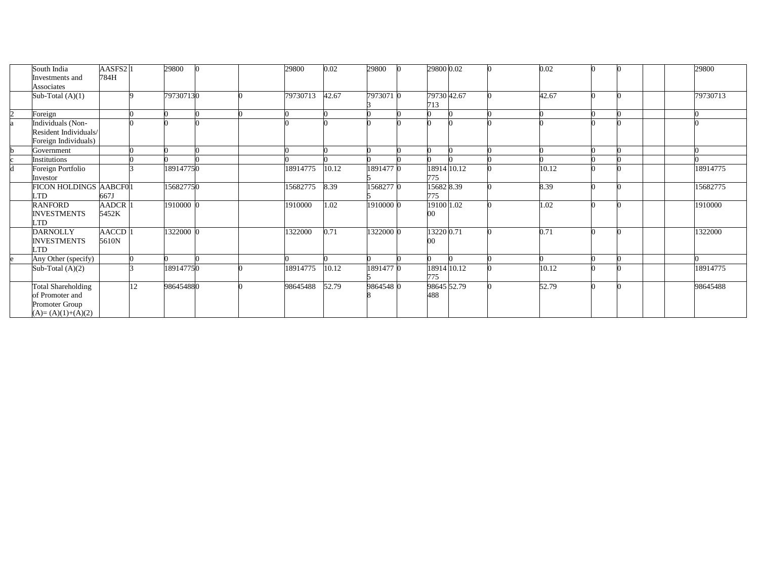|                | South India<br>Investments and<br>Associates                                          | AASFS2 <sub>1</sub><br>784H |    | 29800     |  | 29800    | 0.02  | 29800     | 29800 0.02         |  | 0.02  |  | 29800    |
|----------------|---------------------------------------------------------------------------------------|-----------------------------|----|-----------|--|----------|-------|-----------|--------------------|--|-------|--|----------|
|                | Sub-Total $(A)(1)$                                                                    |                             |    | 797307130 |  | 79730713 | 42.67 | 7973071 0 | 79730 42.67<br>713 |  | 42.67 |  | 79730713 |
| $\overline{c}$ | Foreign                                                                               |                             |    |           |  |          |       |           |                    |  |       |  |          |
|                | ndividuals (Non-<br>Resident Individuals/<br>Foreign Individuals)                     |                             |    |           |  |          |       |           |                    |  |       |  |          |
|                | Government                                                                            |                             |    |           |  |          |       |           |                    |  |       |  |          |
|                | <i>institutions</i>                                                                   |                             |    |           |  |          |       |           |                    |  |       |  |          |
|                | Foreign Portfolio<br>Investor                                                         |                             |    | 189147750 |  | 18914775 | 10.12 | 1891477 0 | 18914 10.12<br>775 |  | 10.12 |  | 18914775 |
|                | FICON HOLDINGS AABCF01<br><b>LTD</b>                                                  | 667J                        |    | 156827750 |  | 15682775 | 8.39  | 1568277 0 | 15682 8.39<br>775  |  | 8.39  |  | 15682775 |
|                | <b>RANFORD</b><br><b>INVESTMENTS</b><br><b>LTD</b>                                    | <b>AADCR</b><br>5452K       |    | 1910000 0 |  | 1910000  | 1.02  | 1910000 0 | 19100 1.02<br>00   |  | .02   |  | 1910000  |
|                | <b>DARNOLLY</b><br><b>INVESTMENTS</b><br>LTD                                          | AACCD<br>5610N              |    | 1322000 0 |  | 1322000  | 0.71  | 1322000 0 | 13220 0.71         |  | 0.71  |  | 1322000  |
|                | Any Other (specify)                                                                   |                             |    |           |  |          |       |           |                    |  |       |  |          |
|                | Sub-Total $(A)(2)$                                                                    |                             |    | 189147750 |  | 18914775 | 10.12 | 1891477 0 | 18914 10.12<br>775 |  | 10.12 |  | 18914775 |
|                | <b>Total Shareholding</b><br>of Promoter and<br>Promoter Group<br>$(A)=(A)(1)+(A)(2)$ |                             | 12 | 986454880 |  | 98645488 | 52.79 | 9864548 0 | 98645 52.79<br>488 |  | 52.79 |  | 98645488 |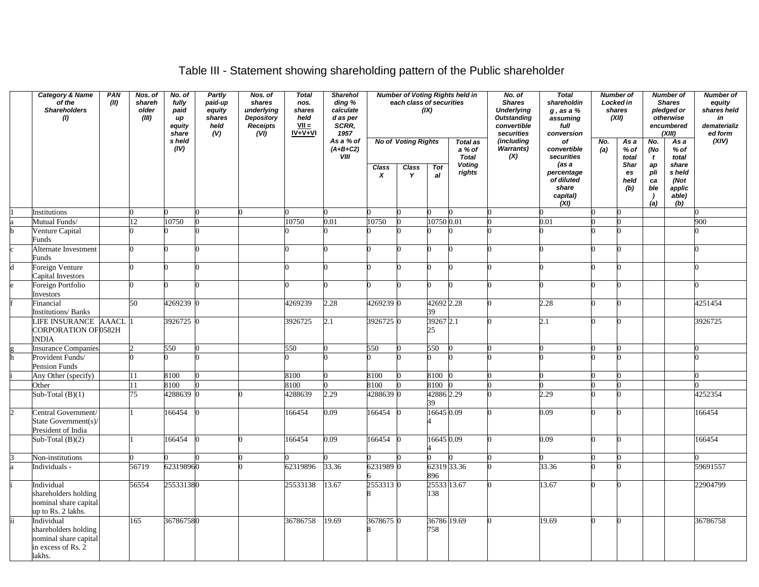# Table III - Statement showing shareholding pattern of the Public shareholder

| <b>Category &amp; Name</b><br>of the<br><b>Shareholders</b><br>(1)            | PAN<br>(II) | <b>Number of Voting Rights held in</b><br>Nos. of<br>Partly<br>Nos. of<br><b>Total</b><br>Sharehol<br>No. of<br>shareh<br>each class of securities<br>ding %<br>fully<br>paid-up<br>shares<br>nos.<br>(IX)<br>underlying<br>calculate<br>older<br>equity<br>shares<br>paid<br>d as per<br>(III)<br>shares<br>Depository<br>held<br>up<br>SCRR,<br><b>Receipts</b><br>$VII =$<br>equity<br>held<br>(vij)<br>$IV + V + VI$<br>(V)<br>1957<br>share<br><b>No of Voting Rights</b> |                |  | $\overline{N}$ o. of<br><b>Shares</b><br><b>Underlying</b><br><b>Outstanding</b><br>convertible<br>securities | <b>Total</b><br>shareholdin<br>$g$ , as a $%$<br>assuming<br>full<br>conversion | Number of<br>Locked in<br>shares<br>(XII)<br>No.<br>As a |       | <b>Number of</b><br><b>Shares</b><br>pledged or<br>otherwise<br>encumbered<br>(XIII) |                                                            | Number of<br>equity<br>shares held<br>in<br>dematerializ<br>ed form<br>(XIV) |                                                       |     |                       |                         |                                          |          |
|-------------------------------------------------------------------------------|-------------|--------------------------------------------------------------------------------------------------------------------------------------------------------------------------------------------------------------------------------------------------------------------------------------------------------------------------------------------------------------------------------------------------------------------------------------------------------------------------------|----------------|--|---------------------------------------------------------------------------------------------------------------|---------------------------------------------------------------------------------|----------------------------------------------------------|-------|--------------------------------------------------------------------------------------|------------------------------------------------------------|------------------------------------------------------------------------------|-------------------------------------------------------|-----|-----------------------|-------------------------|------------------------------------------|----------|
|                                                                               |             |                                                                                                                                                                                                                                                                                                                                                                                                                                                                                | s held<br>(IV) |  |                                                                                                               | As a % of<br>$(A+B+C2)$<br>VIII                                                 | Class                                                    | Class | Tot                                                                                  | <b>Total as</b><br>a % of<br><b>Total</b><br><b>Voting</b> | (including<br><b>Warrants)</b><br>(X)                                        | оf<br>convertible<br>securities<br>(as a              | (a) | % of<br>total<br>Shar | No.<br>(No<br>t<br>ap   | As a<br>$%$ of<br>total<br>share         |          |
|                                                                               |             |                                                                                                                                                                                                                                                                                                                                                                                                                                                                                |                |  |                                                                                                               |                                                                                 | X                                                        | Y     | al                                                                                   | rights                                                     |                                                                              | percentage<br>of diluted<br>share<br>capital)<br>(XI) |     | es<br>held<br>(b)     | pli<br>ca<br>ble<br>(a) | s held<br>(Not<br>applic<br>able)<br>(b) |          |
| Institutions                                                                  |             |                                                                                                                                                                                                                                                                                                                                                                                                                                                                                |                |  |                                                                                                               |                                                                                 |                                                          |       |                                                                                      |                                                            |                                                                              |                                                       |     |                       |                         |                                          |          |
| Mutual Funds/                                                                 |             | 12                                                                                                                                                                                                                                                                                                                                                                                                                                                                             | 10750          |  | 10750                                                                                                         | 0.01                                                                            | 10750                                                    |       | 10750 0.01                                                                           |                                                            |                                                                              | 0.01                                                  |     |                       |                         |                                          | 900      |
| Venture Capital<br>Funds                                                      |             |                                                                                                                                                                                                                                                                                                                                                                                                                                                                                |                |  |                                                                                                               |                                                                                 |                                                          |       |                                                                                      |                                                            |                                                                              |                                                       |     |                       |                         |                                          |          |
| Alternate Investment<br>Funds                                                 |             |                                                                                                                                                                                                                                                                                                                                                                                                                                                                                |                |  |                                                                                                               |                                                                                 |                                                          |       |                                                                                      |                                                            |                                                                              |                                                       |     |                       |                         |                                          |          |
| Foreign Venture<br>Capital Investors                                          |             |                                                                                                                                                                                                                                                                                                                                                                                                                                                                                |                |  |                                                                                                               |                                                                                 |                                                          |       |                                                                                      |                                                            |                                                                              |                                                       |     |                       |                         |                                          |          |
| Foreign Portfolio                                                             |             |                                                                                                                                                                                                                                                                                                                                                                                                                                                                                |                |  |                                                                                                               |                                                                                 |                                                          |       |                                                                                      |                                                            |                                                                              |                                                       |     |                       |                         |                                          |          |
| Investors                                                                     |             | 50                                                                                                                                                                                                                                                                                                                                                                                                                                                                             |                |  |                                                                                                               |                                                                                 |                                                          |       |                                                                                      |                                                            |                                                                              |                                                       |     |                       |                         |                                          |          |
| Financial<br><b>Institutions/Banks</b>                                        |             |                                                                                                                                                                                                                                                                                                                                                                                                                                                                                | 4269239 0      |  | 4269239                                                                                                       | 2.28                                                                            | 4269239 0                                                |       | 42692 2.28<br>39                                                                     |                                                            |                                                                              | 2.28                                                  |     |                       |                         |                                          | 4251454  |
| LIFE INSURANCE AAACL<br>CORPORATION OF 0582H<br><b>INDIA</b>                  |             |                                                                                                                                                                                                                                                                                                                                                                                                                                                                                | 3926725 0      |  | 3926725                                                                                                       | 2.1                                                                             | 3926725 0                                                |       | 39267 2.1<br>25                                                                      |                                                            |                                                                              | 2.1                                                   |     |                       |                         |                                          | 3926725  |
| <b>Insurance Companies</b>                                                    |             |                                                                                                                                                                                                                                                                                                                                                                                                                                                                                | 550            |  | 550                                                                                                           |                                                                                 | 550                                                      |       | 550                                                                                  |                                                            |                                                                              |                                                       |     |                       |                         |                                          | 0        |
| Provident Funds/<br>Pension Funds                                             |             |                                                                                                                                                                                                                                                                                                                                                                                                                                                                                |                |  |                                                                                                               |                                                                                 |                                                          |       |                                                                                      |                                                            |                                                                              |                                                       |     |                       |                         |                                          |          |
| Any Other (specify)                                                           |             | 11                                                                                                                                                                                                                                                                                                                                                                                                                                                                             | 8100           |  | 8100                                                                                                          |                                                                                 | 8100                                                     |       | 8100 0                                                                               |                                                            |                                                                              |                                                       |     |                       |                         |                                          |          |
| Other                                                                         |             | 11                                                                                                                                                                                                                                                                                                                                                                                                                                                                             | 8100           |  | 8100                                                                                                          |                                                                                 | 8100                                                     |       | 8100 0                                                                               |                                                            |                                                                              |                                                       |     |                       |                         |                                          |          |
| Sub-Total $(B)(1)$                                                            |             | $\overline{75}$                                                                                                                                                                                                                                                                                                                                                                                                                                                                | 4288639        |  | 4288639                                                                                                       | 2.29                                                                            | 4288639 0                                                |       | 42886 2.29<br>39                                                                     |                                                            |                                                                              | 2.29                                                  |     |                       |                         |                                          | 4252354  |
| Central Government/<br>State Government(s)/<br>President of India             |             |                                                                                                                                                                                                                                                                                                                                                                                                                                                                                | 166454         |  | 166454                                                                                                        | 0.09                                                                            | 66454                                                    |       | 16645 0.09                                                                           |                                                            |                                                                              | 0.09                                                  |     |                       |                         |                                          | 166454   |
| Sub-Total $(B)(2)$                                                            |             |                                                                                                                                                                                                                                                                                                                                                                                                                                                                                | 166454         |  | 166454                                                                                                        | 0.09                                                                            | 66454                                                    |       | 16645 0.09                                                                           |                                                            |                                                                              | 0.09                                                  |     |                       |                         |                                          | 166454   |
| Non-institutions                                                              |             |                                                                                                                                                                                                                                                                                                                                                                                                                                                                                |                |  |                                                                                                               |                                                                                 |                                                          |       |                                                                                      |                                                            |                                                                              |                                                       |     |                       |                         |                                          |          |
| Individuals -                                                                 |             | 56719                                                                                                                                                                                                                                                                                                                                                                                                                                                                          | 623198960      |  | 62319896                                                                                                      | 33.36                                                                           | 6231989 0                                                |       | 62319 33.36<br>896                                                                   |                                                            |                                                                              | 33.36                                                 |     |                       |                         |                                          | 59691557 |
| Individual<br>shareholders holding<br>nominal share capital                   |             | 56554                                                                                                                                                                                                                                                                                                                                                                                                                                                                          | 255331380      |  | 25533138                                                                                                      | 13.67                                                                           | 2553313 0                                                |       | 25533 13.67<br>138                                                                   |                                                            |                                                                              | 13.67                                                 |     |                       |                         |                                          | 22904799 |
| up to Rs. 2 lakhs.<br>Individual                                              |             | 165                                                                                                                                                                                                                                                                                                                                                                                                                                                                            | 367867580      |  | 36786758                                                                                                      | 19.69                                                                           | 3678675 0                                                |       | 36786 19.69                                                                          |                                                            |                                                                              | 19.69                                                 |     |                       |                         |                                          | 36786758 |
| shareholders holding<br>nominal share capital<br>in excess of Rs. 2<br>lakhs. |             |                                                                                                                                                                                                                                                                                                                                                                                                                                                                                |                |  |                                                                                                               |                                                                                 |                                                          |       | 758                                                                                  |                                                            |                                                                              |                                                       |     |                       |                         |                                          |          |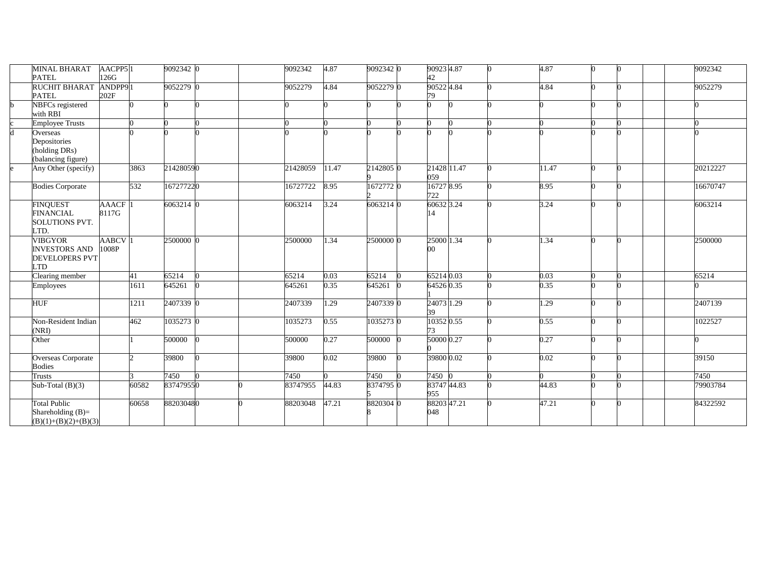|   | <b>MINAL BHARAT</b>                 | AACPP5 <sup>1</sup> |               | 9092342 0 |   | 9092342  | 4.87  | 9092342 0 | 90923 4.87  |  | 4.87  |   |  | 9092342  |
|---|-------------------------------------|---------------------|---------------|-----------|---|----------|-------|-----------|-------------|--|-------|---|--|----------|
|   | <b>PATEL</b>                        | 126G                |               |           |   |          |       |           | 42          |  |       |   |  |          |
|   | <b>RUCHIT BHARAT</b>                | ANDPP91             |               | 9052279 0 |   | 9052279  | 4.84  | 9052279 0 | 90522 4.84  |  | 4.84  |   |  | 9052279  |
|   | <b>PATEL</b>                        | 202F                |               |           |   |          |       |           | 79          |  |       |   |  |          |
| h | NBFCs registered                    |                     |               |           |   |          |       |           |             |  |       |   |  |          |
|   | with RBI                            |                     |               |           |   |          |       |           |             |  |       |   |  |          |
|   | <b>Employee Trusts</b>              |                     |               |           |   |          |       |           |             |  |       |   |  |          |
| d | Overseas                            |                     |               |           |   |          |       |           |             |  |       |   |  |          |
|   | Depositories                        |                     |               |           |   |          |       |           |             |  |       |   |  |          |
|   | (holding DRs)                       |                     |               |           |   |          |       |           |             |  |       |   |  |          |
|   | (balancing figure)                  |                     |               |           |   |          |       |           |             |  |       |   |  |          |
|   | Any Other (specify)                 |                     | 3863          | 214280590 |   | 21428059 | 11.47 | 2142805 0 | 21428 11.47 |  | 11.47 |   |  | 20212227 |
|   |                                     |                     |               |           |   |          |       |           | 059         |  |       |   |  |          |
|   | <b>Bodies Corporate</b>             |                     | 532           | 167277220 |   | 16727722 | 8.95  | 1672772 0 | 16727 8.95  |  | 8.95  |   |  | 16670747 |
|   |                                     |                     |               |           |   |          |       |           | 722         |  |       |   |  |          |
|   | <b>FINQUEST</b>                     | <b>AAACF</b>        |               | 6063214 0 |   | 6063214  | 3.24  | 6063214 0 | 60632 3.24  |  | 3.24  |   |  | 6063214  |
|   | <b>FINANCIAL</b>                    | 8117G               |               |           |   |          |       |           | 14          |  |       |   |  |          |
|   | <b>SOLUTIONS PVT.</b>               |                     |               |           |   |          |       |           |             |  |       |   |  |          |
|   | LTD.                                |                     |               |           |   |          |       |           |             |  |       |   |  |          |
|   | <b>VIBGYOR</b>                      | <b>AABCV</b>        |               | 2500000 0 |   | 2500000  | 1.34  | 2500000 0 | 25000 1.34  |  | 1.34  | n |  | 2500000  |
|   | <b>INVESTORS AND</b>                | 1008P               |               |           |   |          |       |           | 00          |  |       |   |  |          |
|   | <b>DEVELOPERS PVT</b>               |                     |               |           |   |          |       |           |             |  |       |   |  |          |
|   | <b>LTD</b>                          |                     |               |           | ∩ |          |       |           |             |  |       |   |  |          |
|   | Clearing member                     |                     | 41            | 65214     |   | 65214    | 0.03  | 65214     | 65214 0.03  |  | 0.03  |   |  | 65214    |
|   | Employees                           |                     | 1611          | 645261    |   | 645261   | 0.35  | 645261    | 64526 0.35  |  | 0.35  |   |  |          |
|   |                                     |                     |               |           |   |          |       |           |             |  |       |   |  |          |
|   | <b>HUF</b>                          |                     | 1211          | 2407339 0 |   | 2407339  | 1.29  | 2407339 0 | 24073 1.29  |  | 1.29  |   |  | 2407139  |
|   |                                     |                     |               |           |   |          |       |           | 39          |  |       |   |  |          |
|   | Non-Resident Indian                 |                     | 462           | 1035273 0 |   | 1035273  | 0.55  | 1035273 0 | 103520.55   |  | 0.55  |   |  | 1022527  |
|   | (NRI)                               |                     |               |           |   |          |       |           | 73          |  | 0.27  |   |  |          |
|   | Other                               |                     |               | 500000    |   | 500000   | 0.27  | 500000    | 50000 0.27  |  |       |   |  |          |
|   |                                     |                     | $\mathcal{L}$ | 39800     |   | 39800    | 0.02  | 39800     | 39800 0.02  |  | 0.02  |   |  | 39150    |
|   | Overseas Corporate<br><b>Bodies</b> |                     |               |           |   |          |       |           |             |  |       |   |  |          |
|   | Trusts                              |                     |               | 7450      |   | 7450     |       | 7450      | 7450        |  |       |   |  | 7450     |
|   |                                     |                     | 60582         | 837479550 |   | 83747955 | 44.83 | 8374795 0 | 8374744.83  |  | 44.83 |   |  | 79903784 |
|   | Sub-Total $(B)(3)$                  |                     |               |           |   |          |       |           | 955         |  |       |   |  |          |
|   | <b>Total Public</b>                 |                     | 60658         | 882030480 |   | 88203048 | 47.21 | 8820304 0 | 88203 47.21 |  | 47.21 |   |  | 84322592 |
|   | Shareholding $(B)=$                 |                     |               |           |   |          |       |           | 048         |  |       |   |  |          |
|   |                                     |                     |               |           |   |          |       |           |             |  |       |   |  |          |
|   | $(B)(1)+(B)(2)+(B)(3)$              |                     |               |           |   |          |       |           |             |  |       |   |  |          |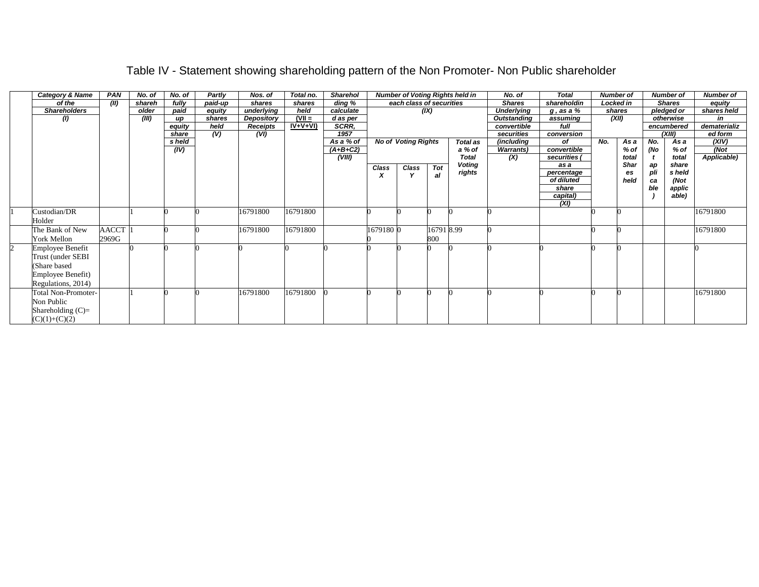| Category & Name            | <b>PAN</b>   | No. of | No. of | Partly  | Nos. of    | Total no. | <b>Sharehol</b> |           |                            |           | <b>Number of Voting Rights held in</b> | No. of            | <b>Total</b> |     | <b>Number of</b> |     | <b>Number of</b> | <b>Number of</b> |
|----------------------------|--------------|--------|--------|---------|------------|-----------|-----------------|-----------|----------------------------|-----------|----------------------------------------|-------------------|--------------|-----|------------------|-----|------------------|------------------|
| of the                     | (II)         | shareh | fully  | paid-up | shares     | shares    | ding %          |           | each class of securities   |           |                                        | <b>Shares</b>     | shareholdin  |     | Locked in        |     | <b>Shares</b>    | equity           |
| <b>Shareholders</b>        |              | older  | paid   | equity  | underlying | held      | calculate       |           |                            | (IX)      |                                        | <b>Underlying</b> | g , as a %   |     | shares           |     | pledged or       | shares held      |
| $\left( l\right)$          |              | (III)  | up     | shares  | Depository | $(VII =$  | d as per        |           |                            |           |                                        | Outstanding       | assuming     |     | (XII)            |     | otherwise        | in               |
|                            |              |        | equity | held    | Receipts   | $IV+V+VI$ | <b>SCRR.</b>    |           |                            |           |                                        | convertible       | full         |     |                  |     | encumbered       | dematerializ     |
|                            |              |        | share  | (V)     | (VI)       |           | 1957            |           |                            |           |                                        | securities        | conversion   |     |                  |     | (XIII)           | ed form          |
|                            |              |        | s held |         |            |           | As a % of       |           | <b>No of Voting Rights</b> |           | Total as                               | (including        | оf           | No. | As a             | No. | As a             | (XIV)            |
|                            |              |        | (IV)   |         |            |           | $(A+B+C2)$      |           |                            |           | a % of                                 | <b>Warrants</b> ) | convertible  |     | % of             | (No | % of             | (Not             |
|                            |              |        |        |         |            |           | (VIII)          |           |                            |           | <b>Total</b>                           | (X)               | securities   |     | total            |     | total            | Applicable)      |
|                            |              |        |        |         |            |           |                 | Class     | Class                      | Tot       | <b>Voting</b>                          |                   | as a         |     | <b>Shar</b>      | ap  | share            |                  |
|                            |              |        |        |         |            |           |                 |           |                            | al        | rights                                 |                   | percentage   |     | <b>es</b>        | pli | s held           |                  |
|                            |              |        |        |         |            |           |                 |           |                            |           |                                        |                   | of diluted   |     | held             | ca  | (Not             |                  |
|                            |              |        |        |         |            |           |                 |           |                            |           |                                        |                   | share        |     |                  | ble | applic           |                  |
|                            |              |        |        |         |            |           |                 |           |                            |           |                                        |                   | capital)     |     |                  |     | able)            |                  |
|                            |              |        |        |         |            |           |                 |           |                            |           |                                        |                   | (XI)         |     |                  |     |                  |                  |
| Custodian/DR               |              |        |        |         | 16791800   | 16791800  |                 |           |                            |           |                                        |                   |              |     |                  |     |                  | 16791800         |
| Holder                     |              |        |        |         |            |           |                 |           |                            |           |                                        |                   |              |     |                  |     |                  |                  |
| The Bank of New            | <b>AACCT</b> |        |        |         | 16791800   | 16791800  |                 | 1679180 0 |                            | 167918.99 |                                        |                   |              |     |                  |     |                  | 16791800         |
| <b>York Mellon</b>         | 2969G        |        |        |         |            |           |                 |           |                            | 800       |                                        |                   |              |     |                  |     |                  |                  |
| <b>Employee Benefit</b>    |              |        |        |         |            |           |                 |           |                            |           |                                        |                   |              |     |                  |     |                  |                  |
| Trust (under SEBI          |              |        |        |         |            |           |                 |           |                            |           |                                        |                   |              |     |                  |     |                  |                  |
| (Share based               |              |        |        |         |            |           |                 |           |                            |           |                                        |                   |              |     |                  |     |                  |                  |
| Employee Benefit)          |              |        |        |         |            |           |                 |           |                            |           |                                        |                   |              |     |                  |     |                  |                  |
| Regulations, 2014)         |              |        |        |         |            |           |                 |           |                            |           |                                        |                   |              |     |                  |     |                  |                  |
| <b>Total Non-Promoter-</b> |              |        |        |         | 16791800   | 16791800  |                 |           |                            |           |                                        |                   |              |     |                  |     |                  | 16791800         |
|                            |              |        |        |         |            |           |                 |           |                            |           |                                        |                   |              |     |                  |     |                  |                  |
| Non Public                 |              |        |        |         |            |           |                 |           |                            |           |                                        |                   |              |     |                  |     |                  |                  |
| Shareholding $(C)=$        |              |        |        |         |            |           |                 |           |                            |           |                                        |                   |              |     |                  |     |                  |                  |
| $(C)(1)+(C)(2)$            |              |        |        |         |            |           |                 |           |                            |           |                                        |                   |              |     |                  |     |                  |                  |

## Table IV - Statement showing shareholding pattern of the Non Promoter- Non Public shareholder